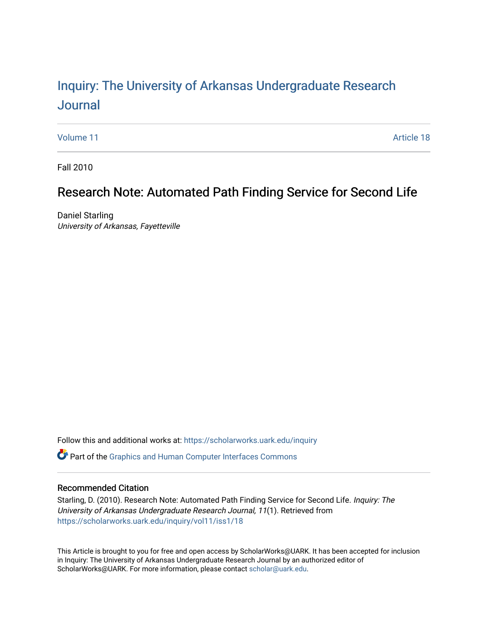# Inquiry: The Univ[ersity of Arkansas Undergraduate Resear](https://scholarworks.uark.edu/inquiry)ch [Journal](https://scholarworks.uark.edu/inquiry)

[Volume 11](https://scholarworks.uark.edu/inquiry/vol11) Article 18

Fall 2010

## Research Note: Automated Path Finding Service for Second Life

Daniel Starling University of Arkansas, Fayetteville

Follow this and additional works at: [https://scholarworks.uark.edu/inquiry](https://scholarworks.uark.edu/inquiry?utm_source=scholarworks.uark.edu%2Finquiry%2Fvol11%2Fiss1%2F18&utm_medium=PDF&utm_campaign=PDFCoverPages)

Part of the [Graphics and Human Computer Interfaces Commons](http://network.bepress.com/hgg/discipline/146?utm_source=scholarworks.uark.edu%2Finquiry%2Fvol11%2Fiss1%2F18&utm_medium=PDF&utm_campaign=PDFCoverPages) 

### Recommended Citation

Starling, D. (2010). Research Note: Automated Path Finding Service for Second Life. Inquiry: The University of Arkansas Undergraduate Research Journal, 11(1). Retrieved from [https://scholarworks.uark.edu/inquiry/vol11/iss1/18](https://scholarworks.uark.edu/inquiry/vol11/iss1/18?utm_source=scholarworks.uark.edu%2Finquiry%2Fvol11%2Fiss1%2F18&utm_medium=PDF&utm_campaign=PDFCoverPages)

This Article is brought to you for free and open access by ScholarWorks@UARK. It has been accepted for inclusion in Inquiry: The University of Arkansas Undergraduate Research Journal by an authorized editor of ScholarWorks@UARK. For more information, please contact [scholar@uark.edu](mailto:scholar@uark.edu).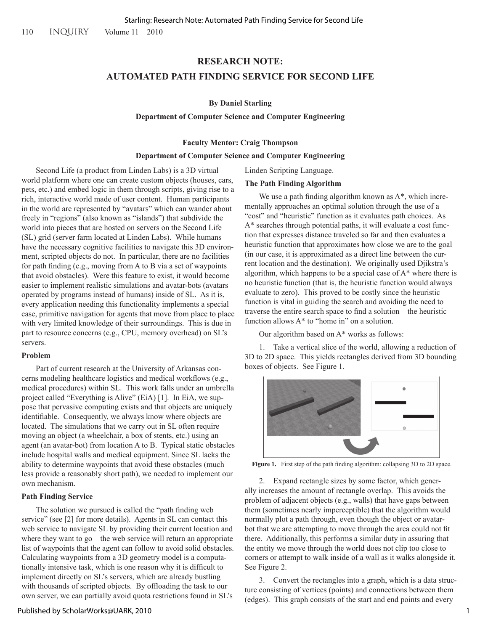#### **RESEARCH NOTE:**

#### **AUTOMATED PATH FINDING SERVICE FOR SECOND LIFE**

#### **By Daniel Starling**

#### **Department of Computer Science and Computer Engineering**

#### **Faculty Mentor: Craig Thompson**

#### **Department of Computer Science and Computer Engineering**

Second Life (a product from Linden Labs) is a 3D virtual world platform where one can create custom objects (houses, cars, pets, etc.) and embed logic in them through scripts, giving rise to a rich, interactive world made of user content. Human participants in the world are represented by "avatars" which can wander about freely in "regions" (also known as "islands") that subdivide the world into pieces that are hosted on servers on the Second Life (SL) grid (server farm located at Linden Labs). While humans have the necessary cognitive facilities to navigate this 3D environment, scripted objects do not. In particular, there are no facilities for path finding (e.g., moving from A to B via a set of waypoints that avoid obstacles). Were this feature to exist, it would become easier to implement realistic simulations and avatar-bots (avatars operated by programs instead of humans) inside of SL. As it is, every application needing this functionality implements a special case, primitive navigation for agents that move from place to place with very limited knowledge of their surroundings. This is due in part to resource concerns (e.g., CPU, memory overhead) on SL's servers.

#### **Problem**

Part of current research at the University of Arkansas concerns modeling healthcare logistics and medical workflows (e.g., medical procedures) within SL. This work falls under an umbrella project called "Everything is Alive" (EiA) [1]. In EiA, we suppose that pervasive computing exists and that objects are uniquely identifiable. Consequently, we always know where objects are located. The simulations that we carry out in SL often require moving an object (a wheelchair, a box of stents, etc.) using an agent (an avatar-bot) from location A to B. Typical static obstacles include hospital walls and medical equipment. Since SL lacks the ability to determine waypoints that avoid these obstacles (much less provide a reasonably short path), we needed to implement our own mechanism.

#### **Path Finding Service**

The solution we pursued is called the "path finding web service" (see [2] for more details). Agents in SL can contact this web service to navigate SL by providing their current location and where they want to go – the web service will return an appropriate list of waypoints that the agent can follow to avoid solid obstacles. Calculating waypoints from a 3D geometry model is a computationally intensive task, which is one reason why it is difficult to implement directly on SL's servers, which are already bustling with thousands of scripted objects. By offloading the task to our own server, we can partially avoid quota restrictions found in SL's

**The Path Finding Algorithm**

Linden Scripting Language.

We use a path finding algorithm known as  $A^*$ , which incrementally approaches an optimal solution through the use of a "cost" and "heuristic" function as it evaluates path choices. As A\* searches through potential paths, it will evaluate a cost function that expresses distance traveled so far and then evaluates a heuristic function that approximates how close we are to the goal (in our case, it is approximated as a direct line between the current location and the destination). We originally used Djikstra's algorithm, which happens to be a special case of A\* where there is no heuristic function (that is, the heuristic function would always evaluate to zero). This proved to be costly since the heuristic function is vital in guiding the search and avoiding the need to traverse the entire search space to find a solution – the heuristic function allows A\* to "home in" on a solution.

Our algorithm based on A\* works as follows:

1. Take a vertical slice of the world, allowing a reduction of 3D to 2D space. This yields rectangles derived from 3D bounding boxes of objects. See Figure 1.



**Figure 1.** First step of the path finding algorithm: collapsing 3D to 2D space.

2. Expand rectangle sizes by some factor, which generally increases the amount of rectangle overlap. This avoids the problem of adjacent objects (e.g., walls) that have gaps between them (sometimes nearly imperceptible) that the algorithm would normally plot a path through, even though the object or avatarbot that we are attempting to move through the area could not fit there. Additionally, this performs a similar duty in assuring that the entity we move through the world does not clip too close to corners or attempt to walk inside of a wall as it walks alongside it. See Figure 2.

3. Convert the rectangles into a graph, which is a data structure consisting of vertices (points) and connections between them (edges). This graph consists of the start and end points and every

#### Published by ScholarWorks@UARK, 2010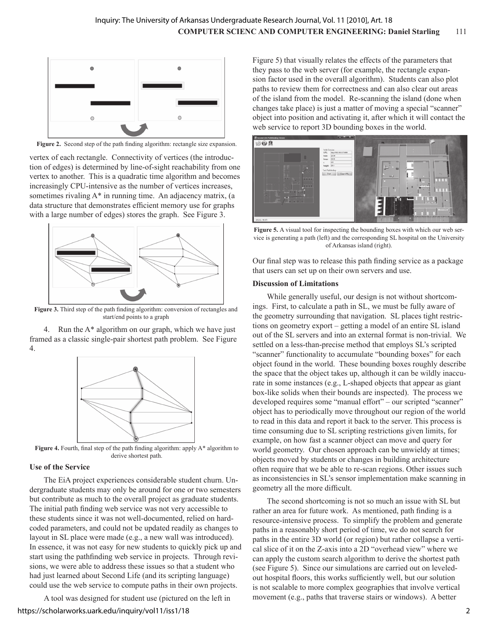

Figure 2. Second step of the path finding algorithm: rectangle size expansion.

vertex of each rectangle. Connectivity of vertices (the introduction of edges) is determined by line-of-sight reachability from one vertex to another. This is a quadratic time algorithm and becomes increasingly CPU-intensive as the number of vertices increases, sometimes rivaling A\* in running time. An adjacency matrix, (a data structure that demonstrates efficient memory use for graphs with a large number of edges) stores the graph. See Figure 3.



**Figure 3.** Third step of the path finding algorithm: conversion of rectangles and start/end points to a graph

4. Run the A\* algorithm on our graph, which we have just framed as a classic single-pair shortest path problem. See Figure 4.



**Figure 4.** Fourth, final step of the path finding algorithm: apply A\* algorithm to derive shortest path.

#### **Use of the Service**

The EiA project experiences considerable student churn. Undergraduate students may only be around for one or two semesters but contribute as much to the overall project as graduate students. The initial path finding web service was not very accessible to these students since it was not well-documented, relied on hardcoded parameters, and could not be updated readily as changes to layout in SL place were made (e.g., a new wall was introduced). In essence, it was not easy for new students to quickly pick up and start using the pathfinding web service in projects. Through revisions, we were able to address these issues so that a student who had just learned about Second Life (and its scripting language) could use the web service to compute paths in their own projects.

A tool was designed for student use (pictured on the left in https://scholarworks.uark.edu/inquiry/vol11/iss1/18

Figure 5) that visually relates the effects of the parameters that they pass to the web server (for example, the rectangle expansion factor used in the overall algorithm). Students can also plot paths to review them for correctness and can also clear out areas of the island from the model. Re-scanning the island (done when changes take place) is just a matter of moving a special "scanner" object into position and activating it, after which it will contact the web service to report 3D bounding boxes in the world.



**Figure 5.** A visual tool for inspecting the bounding boxes with which our web service is generating a path (left) and the corresponding SL hospital on the University of Arkansas island (right).

Our final step was to release this path finding service as a package that users can set up on their own servers and use.

#### **Discussion of Limitations**

While generally useful, our design is not without shortcomings. First, to calculate a path in SL, we must be fully aware of the geometry surrounding that navigation. SL places tight restrictions on geometry export – getting a model of an entire SL island out of the SL servers and into an external format is non-trivial. We settled on a less-than-precise method that employs SL's scripted "scanner" functionality to accumulate "bounding boxes" for each object found in the world. These bounding boxes roughly describe the space that the object takes up, although it can be wildly inaccurate in some instances (e.g., L-shaped objects that appear as giant box-like solids when their bounds are inspected). The process we developed requires some "manual effort" – our scripted "scanner" object has to periodically move throughout our region of the world to read in this data and report it back to the server. This process is time consuming due to SL scripting restrictions given limits, for example, on how fast a scanner object can move and query for world geometry. Our chosen approach can be unwieldy at times; objects moved by students or changes in building architecture often require that we be able to re-scan regions. Other issues such as inconsistencies in SL's sensor implementation make scanning in geometry all the more difficult.

The second shortcoming is not so much an issue with SL but rather an area for future work. As mentioned, path finding is a resource-intensive process. To simplify the problem and generate paths in a reasonably short period of time, we do not search for paths in the entire 3D world (or region) but rather collapse a vertical slice of it on the Z-axis into a 2D "overhead view" where we can apply the custom search algorithm to derive the shortest path (see Figure 5). Since our simulations are carried out on leveledout hospital floors, this works sufficiently well, but our solution is not scalable to more complex geographies that involve vertical movement (e.g., paths that traverse stairs or windows). A better